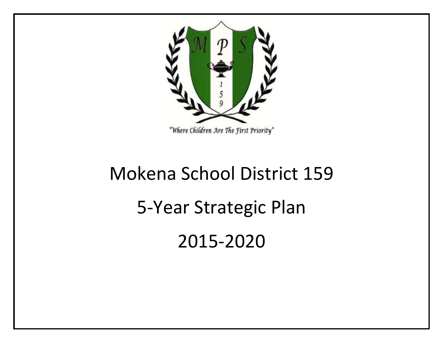

# Mokena School District 159 5-Year Strategic Plan 2015-2020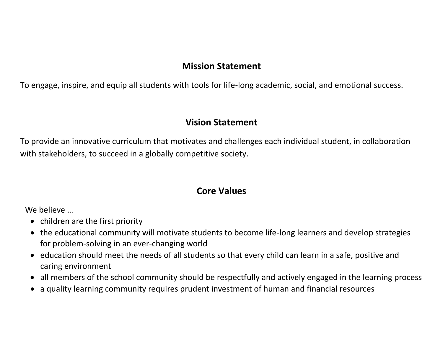# **Mission Statement**

To engage, inspire, and equip all students with tools for life-long academic, social, and emotional success.

## **Vision Statement**

To provide an innovative curriculum that motivates and challenges each individual student, in collaboration with stakeholders, to succeed in a globally competitive society.

# **Core Values**

We believe ...

- children are the first priority
- the educational community will motivate students to become life-long learners and develop strategies for problem-solving in an ever-changing world
- education should meet the needs of all students so that every child can learn in a safe, positive and caring environment
- all members of the school community should be respectfully and actively engaged in the learning process
- a quality learning community requires prudent investment of human and financial resources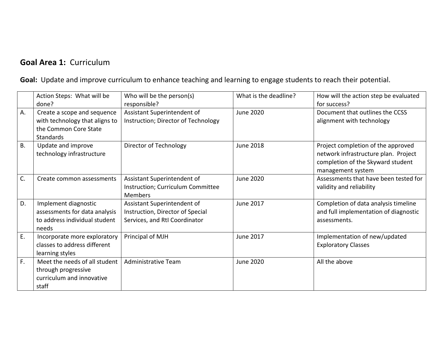# **Goal Area 1:** Curriculum

**Goal:** Update and improve curriculum to enhance teaching and learning to engage students to reach their potential.

|           | Action Steps: What will be<br>done?                                                                        | Who will be the person(s)<br>responsible?                                                        | What is the deadline? | How will the action step be evaluated<br>for success?                                                                                |
|-----------|------------------------------------------------------------------------------------------------------------|--------------------------------------------------------------------------------------------------|-----------------------|--------------------------------------------------------------------------------------------------------------------------------------|
| А.        | Create a scope and sequence<br>with technology that aligns to<br>the Common Core State<br><b>Standards</b> | Assistant Superintendent of<br>Instruction; Director of Technology                               | <b>June 2020</b>      | Document that outlines the CCSS<br>alignment with technology                                                                         |
| <b>B.</b> | Update and improve<br>technology infrastructure                                                            | Director of Technology                                                                           | <b>June 2018</b>      | Project completion of the approved<br>network infrastructure plan. Project<br>completion of the Skyward student<br>management system |
| C.        | Create common assessments                                                                                  | Assistant Superintendent of<br>Instruction; Curriculum Committee<br><b>Members</b>               | June 2020             | Assessments that have been tested for<br>validity and reliability                                                                    |
| D.        | Implement diagnostic<br>assessments for data analysis<br>to address individual student<br>needs            | Assistant Superintendent of<br>Instruction, Director of Special<br>Services, and RtI Coordinator | <b>June 2017</b>      | Completion of data analysis timeline<br>and full implementation of diagnostic<br>assessments.                                        |
| Ε.        | Incorporate more exploratory<br>classes to address different<br>learning styles                            | Principal of MJH                                                                                 | June 2017             | Implementation of new/updated<br><b>Exploratory Classes</b>                                                                          |
| F.        | Meet the needs of all student<br>through progressive<br>curriculum and innovative<br>staff                 | <b>Administrative Team</b>                                                                       | June 2020             | All the above                                                                                                                        |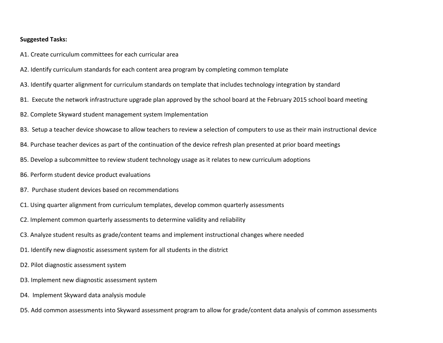- A1. Create curriculum committees for each curricular area
- A2. Identify curriculum standards for each content area program by completing common template
- A3. Identify quarter alignment for curriculum standards on template that includes technology integration by standard
- B1. Execute the network infrastructure upgrade plan approved by the school board at the February 2015 school board meeting
- B2. Complete Skyward student management system Implementation
- B3. Setup a teacher device showcase to allow teachers to review a selection of computers to use as their main instructional device
- B4. Purchase teacher devices as part of the continuation of the device refresh plan presented at prior board meetings
- B5. Develop a subcommittee to review student technology usage as it relates to new curriculum adoptions
- B6. Perform student device product evaluations
- B7. Purchase student devices based on recommendations
- C1. Using quarter alignment from curriculum templates, develop common quarterly assessments
- C2. Implement common quarterly assessments to determine validity and reliability
- C3. Analyze student results as grade/content teams and implement instructional changes where needed
- D1. Identify new diagnostic assessment system for all students in the district
- D2. Pilot diagnostic assessment system
- D3. Implement new diagnostic assessment system
- D4. Implement Skyward data analysis module
- D5. Add common assessments into Skyward assessment program to allow for grade/content data analysis of common assessments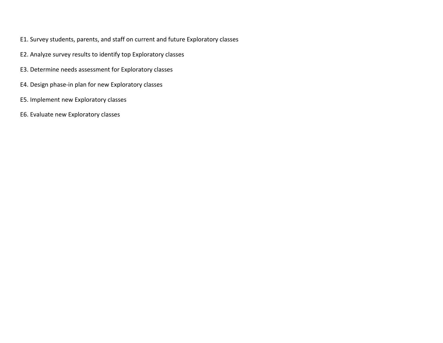- E1. Survey students, parents, and staff on current and future Exploratory classes
- E2. Analyze survey results to identify top Exploratory classes
- E3. Determine needs assessment for Exploratory classes
- E4. Design phase-in plan for new Exploratory classes
- E5. Implement new Exploratory classes
- E6. Evaluate new Exploratory classes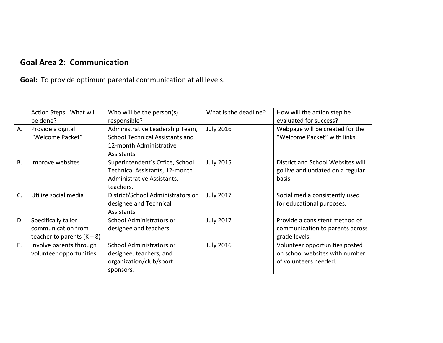# **Goal Area 2: Communication**

**Goal:** To provide optimum parental communication at all levels.

|           | Action Steps: What will<br>be done?                                       | Who will be the person(s)<br>responsible?                                                                    | What is the deadline? | How will the action step be<br>evaluated for success?                                     |
|-----------|---------------------------------------------------------------------------|--------------------------------------------------------------------------------------------------------------|-----------------------|-------------------------------------------------------------------------------------------|
| А.        | Provide a digital<br>"Welcome Packet"                                     | Administrative Leadership Team,<br>School Technical Assistants and<br>12-month Administrative<br>Assistants  | <b>July 2016</b>      | Webpage will be created for the<br>"Welcome Packet" with links.                           |
| <b>B.</b> | Improve websites                                                          | Superintendent's Office, School<br>Technical Assistants, 12-month<br>Administrative Assistants,<br>teachers. | <b>July 2015</b>      | District and School Websites will<br>go live and updated on a regular<br>basis.           |
| C.        | Utilize social media                                                      | District/School Administrators or<br>designee and Technical<br>Assistants                                    | <b>July 2017</b>      | Social media consistently used<br>for educational purposes.                               |
| D.        | Specifically tailor<br>communication from<br>teacher to parents $(K - 8)$ | School Administrators or<br>designee and teachers.                                                           | <b>July 2017</b>      | Provide a consistent method of<br>communication to parents across<br>grade levels.        |
| Ε.        | Involve parents through<br>volunteer opportunities                        | School Administrators or<br>designee, teachers, and<br>organization/club/sport<br>sponsors.                  | <b>July 2016</b>      | Volunteer opportunities posted<br>on school websites with number<br>of volunteers needed. |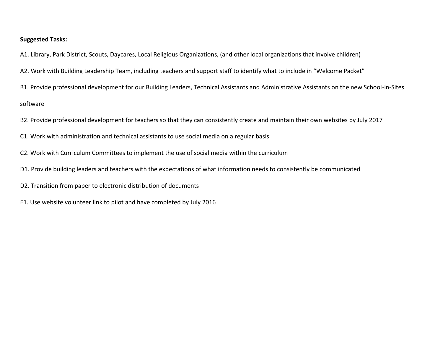A1. Library, Park District, Scouts, Daycares, Local Religious Organizations, (and other local organizations that involve children)

- A2. Work with Building Leadership Team, including teachers and support staff to identify what to include in "Welcome Packet"
- B1. Provide professional development for our Building Leaders, Technical Assistants and Administrative Assistants on the new School-in-Sites

software

- B2. Provide professional development for teachers so that they can consistently create and maintain their own websites by July 2017
- C1. Work with administration and technical assistants to use social media on a regular basis
- C2. Work with Curriculum Committees to implement the use of social media within the curriculum
- D1. Provide building leaders and teachers with the expectations of what information needs to consistently be communicated
- D2. Transition from paper to electronic distribution of documents
- E1. Use website volunteer link to pilot and have completed by July 2016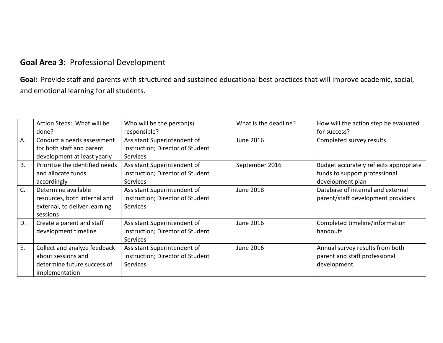## **Goal Area 3:** Professional Development

**Goal:** Provide staff and parents with structured and sustained educational best practices that will improve academic, social, and emotional learning for all students.

|           | Action Steps: What will be<br>done?                                                                 | Who will be the person(s)<br>responsible?                                          | What is the deadline? | How will the action step be evaluated<br>for success?                                       |
|-----------|-----------------------------------------------------------------------------------------------------|------------------------------------------------------------------------------------|-----------------------|---------------------------------------------------------------------------------------------|
| А.        | Conduct a needs assessment<br>for both staff and parent<br>development at least yearly              | Assistant Superintendent of<br>Instruction; Director of Student<br><b>Services</b> | <b>June 2016</b>      | Completed survey results                                                                    |
| <b>B.</b> | Prioritize the identified needs<br>and allocate funds<br>accordingly                                | Assistant Superintendent of<br>Instruction; Director of Student<br><b>Services</b> | September 2016        | Budget accurately reflects appropriate<br>funds to support professional<br>development plan |
| C.        | Determine available<br>resources, both internal and<br>external, to deliver learning<br>sessions    | Assistant Superintendent of<br>Instruction; Director of Student<br><b>Services</b> | <b>June 2018</b>      | Database of internal and external<br>parent/staff development providers                     |
| D.        | Create a parent and staff<br>development timeline                                                   | Assistant Superintendent of<br>Instruction; Director of Student<br><b>Services</b> | <b>June 2016</b>      | Completed timeline/information<br>handouts                                                  |
| E.        | Collect and analyze feedback<br>about sessions and<br>determine future success of<br>implementation | Assistant Superintendent of<br>Instruction; Director of Student<br><b>Services</b> | June 2016             | Annual survey results from both<br>parent and staff professional<br>development             |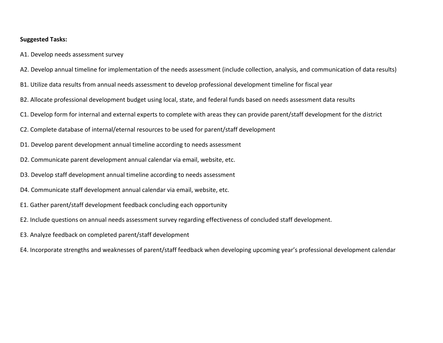- A1. Develop needs assessment survey
- A2. Develop annual timeline for implementation of the needs assessment (include collection, analysis, and communication of data results)
- B1. Utilize data results from annual needs assessment to develop professional development timeline for fiscal year
- B2. Allocate professional development budget using local, state, and federal funds based on needs assessment data results
- C1. Develop form for internal and external experts to complete with areas they can provide parent/staff development for the district
- C2. Complete database of internal/eternal resources to be used for parent/staff development
- D1. Develop parent development annual timeline according to needs assessment
- D2. Communicate parent development annual calendar via email, website, etc.
- D3. Develop staff development annual timeline according to needs assessment
- D4. Communicate staff development annual calendar via email, website, etc.
- E1. Gather parent/staff development feedback concluding each opportunity
- E2. Include questions on annual needs assessment survey regarding effectiveness of concluded staff development.
- E3. Analyze feedback on completed parent/staff development
- E4. Incorporate strengths and weaknesses of parent/staff feedback when developing upcoming year's professional development calendar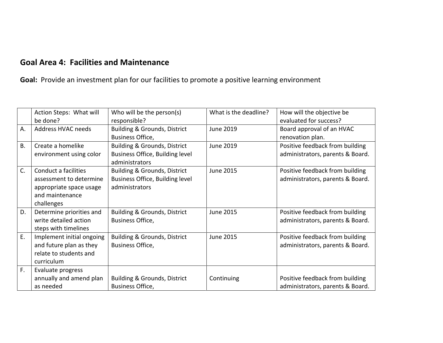## **Goal Area 4: Facilities and Maintenance**

**Goal:** Provide an investment plan for our facilities to promote a positive learning environment

|           | Action Steps: What will<br>be done?                                                                         | Who will be the person(s)<br>responsible?                                                    | What is the deadline? | How will the objective be<br>evaluated for success?                 |
|-----------|-------------------------------------------------------------------------------------------------------------|----------------------------------------------------------------------------------------------|-----------------------|---------------------------------------------------------------------|
| Α.        | Address HVAC needs                                                                                          | <b>Building &amp; Grounds, District</b><br>Business Office,                                  | <b>June 2019</b>      | Board approval of an HVAC<br>renovation plan.                       |
| <b>B.</b> | Create a homelike<br>environment using color                                                                | <b>Building &amp; Grounds, District</b><br>Business Office, Building level<br>administrators | <b>June 2019</b>      | Positive feedback from building<br>administrators, parents & Board. |
| C.        | Conduct a facilities<br>assessment to determine<br>appropriate space usage<br>and maintenance<br>challenges | <b>Building &amp; Grounds, District</b><br>Business Office, Building level<br>administrators | <b>June 2015</b>      | Positive feedback from building<br>administrators, parents & Board. |
| D.        | Determine priorities and<br>write detailed action<br>steps with timelines                                   | <b>Building &amp; Grounds, District</b><br>Business Office,                                  | June 2015             | Positive feedback from building<br>administrators, parents & Board. |
| E.        | Implement initial ongoing<br>and future plan as they<br>relate to students and<br>curriculum                | <b>Building &amp; Grounds, District</b><br>Business Office,                                  | June 2015             | Positive feedback from building<br>administrators, parents & Board. |
| F.        | Evaluate progress<br>annually and amend plan<br>as needed                                                   | <b>Building &amp; Grounds, District</b><br><b>Business Office,</b>                           | Continuing            | Positive feedback from building<br>administrators, parents & Board. |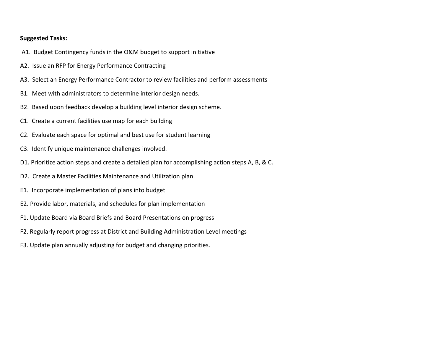- A1. Budget Contingency funds in the O&M budget to support initiative
- A2. Issue an RFP for Energy Performance Contracting
- A3. Select an Energy Performance Contractor to review facilities and perform assessments
- B1. Meet with administrators to determine interior design needs.
- B2. Based upon feedback develop a building level interior design scheme.
- C1. Create a current facilities use map for each building
- C2. Evaluate each space for optimal and best use for student learning
- C3. Identify unique maintenance challenges involved.
- D1. Prioritize action steps and create a detailed plan for accomplishing action steps A, B, & C.
- D2. Create a Master Facilities Maintenance and Utilization plan.
- E1. Incorporate implementation of plans into budget
- E2. Provide labor, materials, and schedules for plan implementation
- F1. Update Board via Board Briefs and Board Presentations on progress
- F2. Regularly report progress at District and Building Administration Level meetings
- F3. Update plan annually adjusting for budget and changing priorities.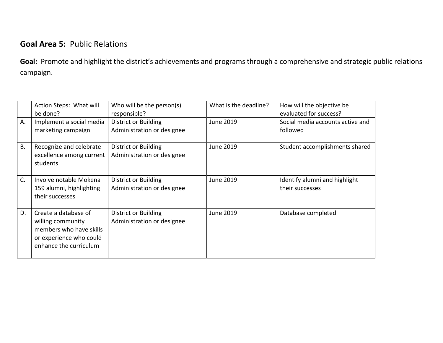# **Goal Area 5:** Public Relations

**Goal:** Promote and highlight the district's achievements and programs through a comprehensive and strategic public relations campaign.

|           | Action Steps: What will                                                                                                   | Who will be the person(s)                                 | What is the deadline? | How will the objective be                        |
|-----------|---------------------------------------------------------------------------------------------------------------------------|-----------------------------------------------------------|-----------------------|--------------------------------------------------|
|           | be done?                                                                                                                  | responsible?                                              |                       | evaluated for success?                           |
| A.        | Implement a social media<br>marketing campaign                                                                            | District or Building<br>Administration or designee        | June 2019             | Social media accounts active and<br>followed     |
|           |                                                                                                                           |                                                           |                       |                                                  |
| <b>B.</b> | Recognize and celebrate<br>excellence among current<br>students                                                           | <b>District or Building</b><br>Administration or designee | June 2019             | Student accomplishments shared                   |
| C.        | Involve notable Mokena<br>159 alumni, highlighting<br>their successes                                                     | <b>District or Building</b><br>Administration or designee | June 2019             | Identify alumni and highlight<br>their successes |
| D.        | Create a database of<br>willing community<br>members who have skills<br>or experience who could<br>enhance the curriculum | District or Building<br>Administration or designee        | June 2019             | Database completed                               |